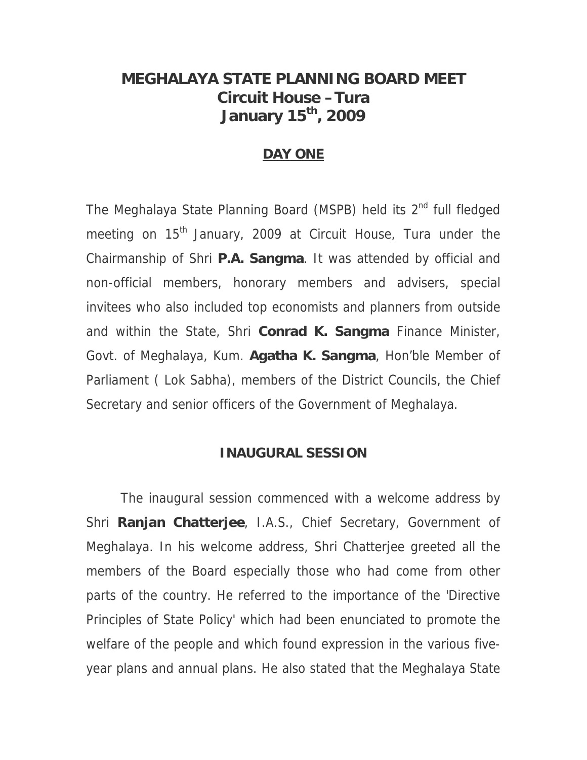## **MEGHALAYA STATE PLANNING BOARD MEET Circuit House –Tura January 15th, 2009**

#### **DAY ONE**

The Meghalaya State Planning Board (MSPB) held its 2<sup>nd</sup> full fledged meeting on 15<sup>th</sup> January, 2009 at Circuit House, Tura under the Chairmanship of Shri **P.A. Sangma**. It was attended by official and non-official members, honorary members and advisers, special invitees who also included top economists and planners from outside and within the State, Shri **Conrad K. Sangma** Finance Minister, Govt. of Meghalaya, Kum. **Agatha K. Sangma**, Hon'ble Member of Parliament ( Lok Sabha), members of the District Councils, the Chief Secretary and senior officers of the Government of Meghalaya.

#### **INAUGURAL SESSION**

 The inaugural session commenced with a welcome address by Shri **Ranjan Chatterjee**, I.A.S., Chief Secretary, Government of Meghalaya. In his welcome address, Shri Chatterjee greeted all the members of the Board especially those who had come from other parts of the country. He referred to the importance of the 'Directive Principles of State Policy' which had been enunciated to promote the welfare of the people and which found expression in the various fiveyear plans and annual plans. He also stated that the Meghalaya State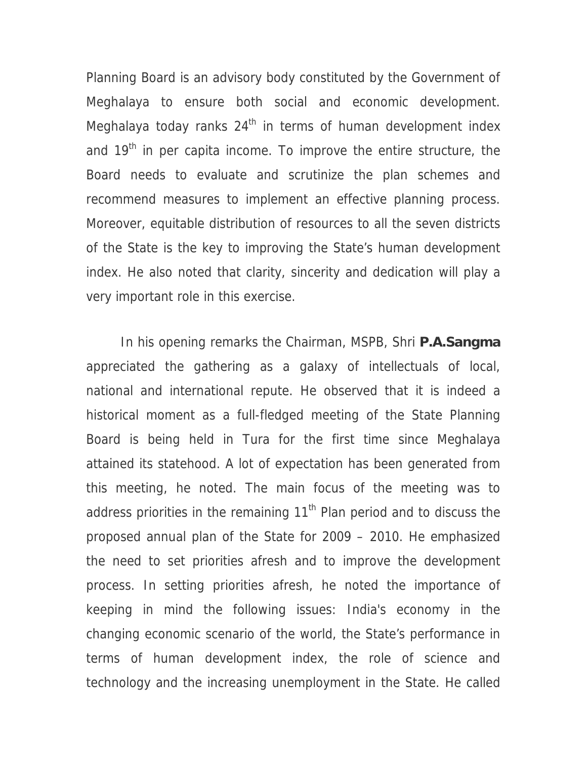Planning Board is an advisory body constituted by the Government of Meghalaya to ensure both social and economic development. Meghalaya today ranks  $24<sup>th</sup>$  in terms of human development index and  $19<sup>th</sup>$  in per capita income. To improve the entire structure, the Board needs to evaluate and scrutinize the plan schemes and recommend measures to implement an effective planning process. Moreover, equitable distribution of resources to all the seven districts of the State is the key to improving the State's human development index. He also noted that clarity, sincerity and dedication will play a very important role in this exercise.

 In his opening remarks the Chairman, MSPB, Shri **P.A.Sangma** appreciated the gathering as a galaxy of intellectuals of local, national and international repute. He observed that it is indeed a historical moment as a full-fledged meeting of the State Planning Board is being held in Tura for the first time since Meghalaya attained its statehood. A lot of expectation has been generated from this meeting, he noted. The main focus of the meeting was to address priorities in the remaining  $11<sup>th</sup>$  Plan period and to discuss the proposed annual plan of the State for 2009 – 2010. He emphasized the need to set priorities afresh and to improve the development process. In setting priorities afresh, he noted the importance of keeping in mind the following issues: India's economy in the changing economic scenario of the world, the State's performance in terms of human development index, the role of science and technology and the increasing unemployment in the State. He called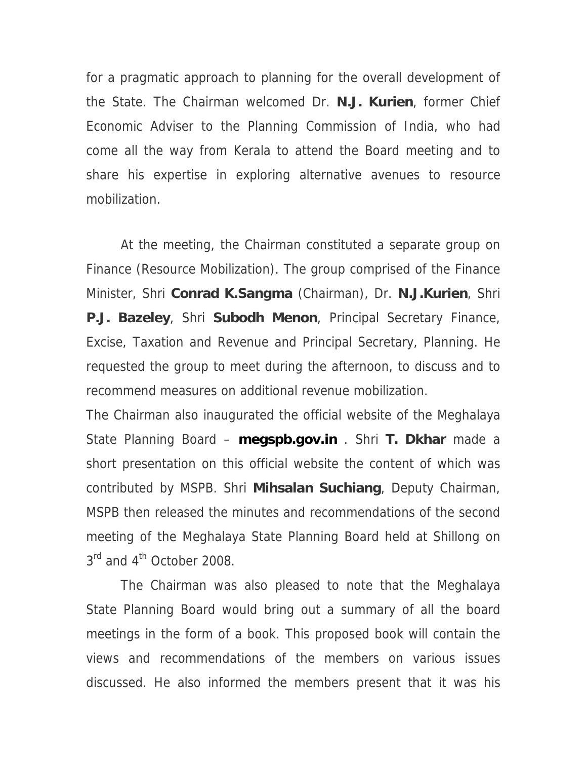for a pragmatic approach to planning for the overall development of the State. The Chairman welcomed Dr. **N.J. Kurien**, former Chief Economic Adviser to the Planning Commission of India, who had come all the way from Kerala to attend the Board meeting and to share his expertise in exploring alternative avenues to resource mobilization.

 At the meeting, the Chairman constituted a separate group on Finance (Resource Mobilization). The group comprised of the Finance Minister, Shri **Conrad K.Sangma** (Chairman), Dr. **N.J.Kurien**, Shri **P.J. Bazeley**, Shri **Subodh Menon**, Principal Secretary Finance, Excise, Taxation and Revenue and Principal Secretary, Planning. He requested the group to meet during the afternoon, to discuss and to recommend measures on additional revenue mobilization.

The Chairman also inaugurated the official website of the Meghalaya State Planning Board – **megspb.gov.in** . Shri **T. Dkhar** made a short presentation on this official website the content of which was contributed by MSPB. Shri **Mihsalan Suchiang**, Deputy Chairman, MSPB then released the minutes and recommendations of the second meeting of the Meghalaya State Planning Board held at Shillong on  $3^{\text{rd}}$  and  $4^{\text{th}}$  October 2008.

 The Chairman was also pleased to note that the Meghalaya State Planning Board would bring out a summary of all the board meetings in the form of a book. This proposed book will contain the views and recommendations of the members on various issues discussed. He also informed the members present that it was his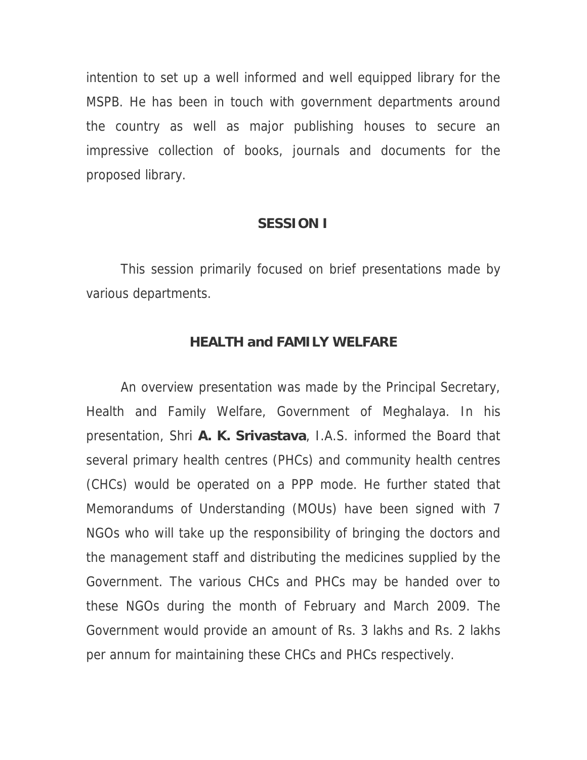intention to set up a well informed and well equipped library for the MSPB. He has been in touch with government departments around the country as well as major publishing houses to secure an impressive collection of books, journals and documents for the proposed library.

#### **SESSION I**

 This session primarily focused on brief presentations made by various departments.

#### **HEALTH and FAMILY WELFARE**

 An overview presentation was made by the Principal Secretary, Health and Family Welfare, Government of Meghalaya. In his presentation, Shri **A. K. Srivastava**, I.A.S. informed the Board that several primary health centres (PHCs) and community health centres (CHCs) would be operated on a PPP mode. He further stated that Memorandums of Understanding (MOUs) have been signed with 7 NGOs who will take up the responsibility of bringing the doctors and the management staff and distributing the medicines supplied by the Government. The various CHCs and PHCs may be handed over to these NGOs during the month of February and March 2009. The Government would provide an amount of Rs. 3 lakhs and Rs. 2 lakhs per annum for maintaining these CHCs and PHCs respectively.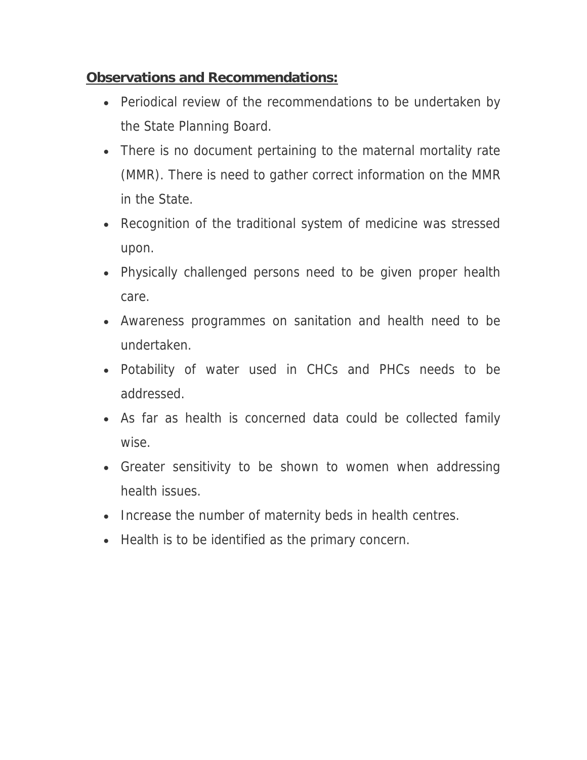## **Observations and Recommendations:**

- Periodical review of the recommendations to be undertaken by the State Planning Board.
- There is no document pertaining to the maternal mortality rate (MMR). There is need to gather correct information on the MMR in the State.
- Recognition of the traditional system of medicine was stressed upon.
- Physically challenged persons need to be given proper health care.
- Awareness programmes on sanitation and health need to be undertaken.
- Potability of water used in CHCs and PHCs needs to be addressed.
- As far as health is concerned data could be collected family wise.
- Greater sensitivity to be shown to women when addressing health issues.
- Increase the number of maternity beds in health centres.
- Health is to be identified as the primary concern.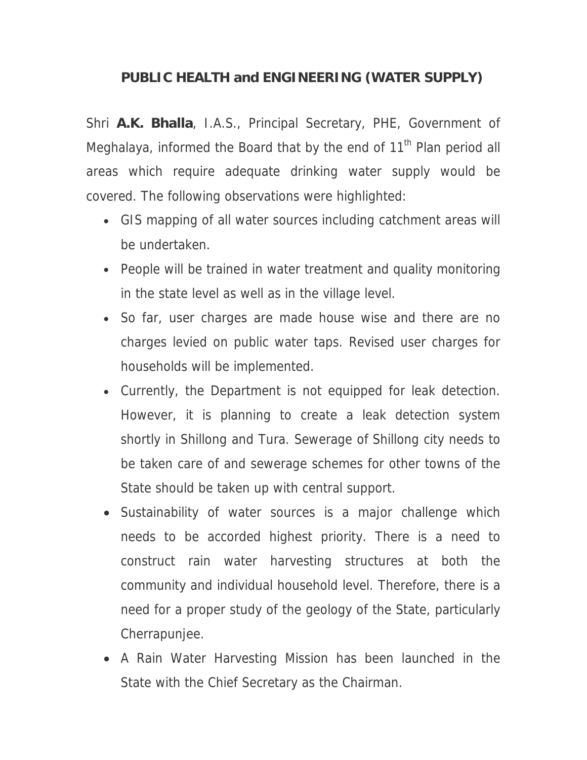## **PUBLIC HEALTH and ENGINEERING (WATER SUPPLY)**

Shri **A.K. Bhalla**, I.A.S., Principal Secretary, PHE, Government of Meghalaya, informed the Board that by the end of 11<sup>th</sup> Plan period all areas which require adequate drinking water supply would be covered. The following observations were highlighted:

- GIS mapping of all water sources including catchment areas will be undertaken.
- People will be trained in water treatment and quality monitoring in the state level as well as in the village level.
- So far, user charges are made house wise and there are no charges levied on public water taps. Revised user charges for households will be implemented.
- Currently, the Department is not equipped for leak detection. However, it is planning to create a leak detection system shortly in Shillong and Tura. Sewerage of Shillong city needs to be taken care of and sewerage schemes for other towns of the State should be taken up with central support.
- Sustainability of water sources is a major challenge which needs to be accorded highest priority. There is a need to construct rain water harvesting structures at both the community and individual household level. Therefore, there is a need for a proper study of the geology of the State, particularly Cherrapunjee.
- A Rain Water Harvesting Mission has been launched in the State with the Chief Secretary as the Chairman.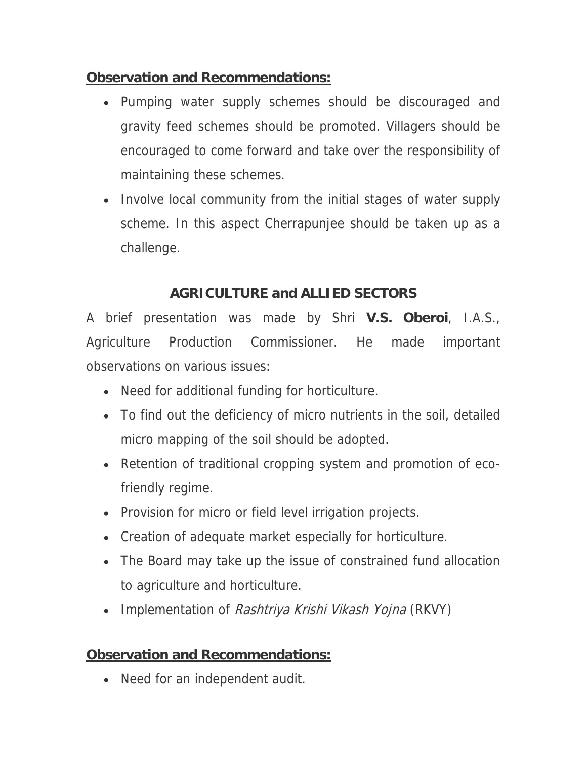## **Observation and Recommendations:**

- Pumping water supply schemes should be discouraged and gravity feed schemes should be promoted. Villagers should be encouraged to come forward and take over the responsibility of maintaining these schemes.
- Involve local community from the initial stages of water supply scheme. In this aspect Cherrapunjee should be taken up as a challenge.

## **AGRICULTURE and ALLIED SECTORS**

A brief presentation was made by Shri **V.S. Oberoi**, I.A.S., Agriculture Production Commissioner. He made important observations on various issues:

- Need for additional funding for horticulture.
- To find out the deficiency of micro nutrients in the soil, detailed micro mapping of the soil should be adopted.
- Retention of traditional cropping system and promotion of ecofriendly regime.
- Provision for micro or field level irrigation projects.
- Creation of adequate market especially for horticulture.
- The Board may take up the issue of constrained fund allocation to agriculture and horticulture.
- Implementation of Rashtriya Krishi Vikash Yojna (RKVY)

## **Observation and Recommendations:**

• Need for an independent audit.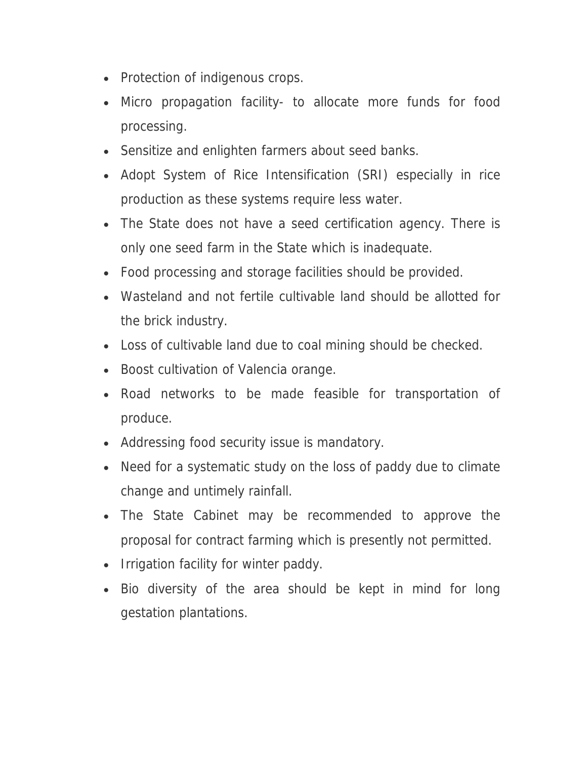- Protection of indigenous crops.
- Micro propagation facility- to allocate more funds for food processing.
- Sensitize and enlighten farmers about seed banks.
- Adopt System of Rice Intensification (SRI) especially in rice production as these systems require less water.
- The State does not have a seed certification agency. There is only one seed farm in the State which is inadequate.
- Food processing and storage facilities should be provided.
- Wasteland and not fertile cultivable land should be allotted for the brick industry.
- Loss of cultivable land due to coal mining should be checked.
- Boost cultivation of Valencia orange.
- Road networks to be made feasible for transportation of produce.
- Addressing food security issue is mandatory.
- Need for a systematic study on the loss of paddy due to climate change and untimely rainfall.
- The State Cabinet may be recommended to approve the proposal for contract farming which is presently not permitted.
- Irrigation facility for winter paddy.
- Bio diversity of the area should be kept in mind for long gestation plantations.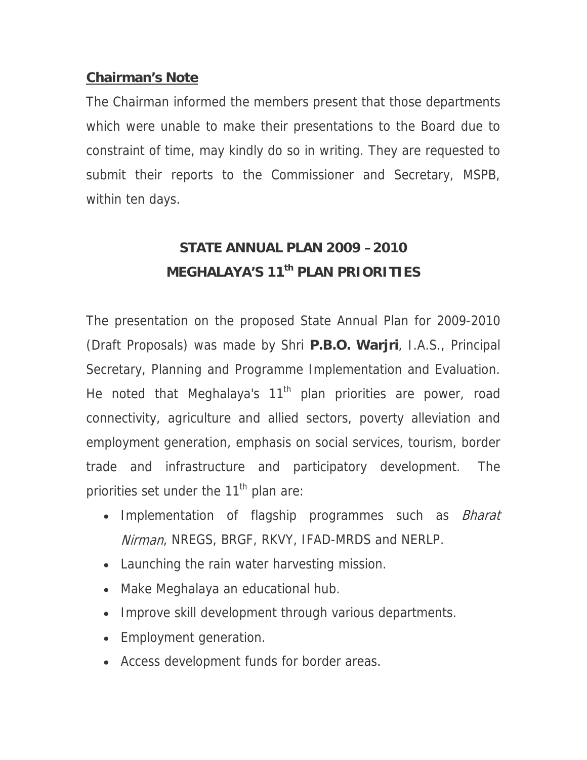### **Chairman's Note**

The Chairman informed the members present that those departments which were unable to make their presentations to the Board due to constraint of time, may kindly do so in writing. They are requested to submit their reports to the Commissioner and Secretary, MSPB, within ten days.

# **STATE ANNUAL PLAN 2009 –2010 MEGHALAYA'S 11th PLAN PRIORITIES**

The presentation on the proposed State Annual Plan for 2009-2010 (Draft Proposals) was made by Shri **P.B.O. Warjri**, I.A.S., Principal Secretary, Planning and Programme Implementation and Evaluation. He noted that Meghalaya's 11<sup>th</sup> plan priorities are power, road connectivity, agriculture and allied sectors, poverty alleviation and employment generation, emphasis on social services, tourism, border trade and infrastructure and participatory development. The priorities set under the  $11<sup>th</sup>$  plan are:

- Implementation of flagship programmes such as *Bharat* Nirman, NREGS, BRGF, RKVY, IFAD-MRDS and NERLP.
- Launching the rain water harvesting mission.
- Make Meghalaya an educational hub.
- Improve skill development through various departments.
- Employment generation.
- Access development funds for border areas.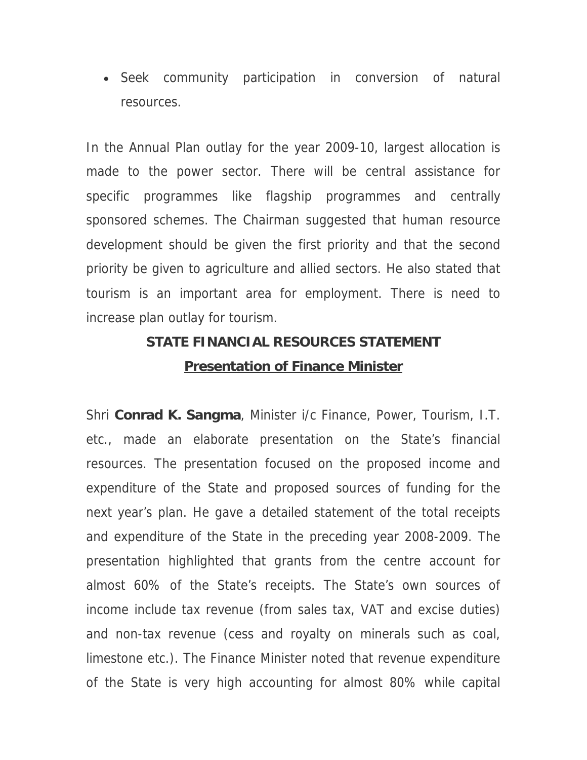• Seek community participation in conversion of natural resources.

In the Annual Plan outlay for the year 2009-10, largest allocation is made to the power sector. There will be central assistance for specific programmes like flagship programmes and centrally sponsored schemes. The Chairman suggested that human resource development should be given the first priority and that the second priority be given to agriculture and allied sectors. He also stated that tourism is an important area for employment. There is need to increase plan outlay for tourism.

## **STATE FINANCIAL RESOURCES STATEMENT Presentation of Finance Minister**

Shri **Conrad K. Sangma**, Minister i/c Finance, Power, Tourism, I.T. etc., made an elaborate presentation on the State's financial resources. The presentation focused on the proposed income and expenditure of the State and proposed sources of funding for the next year's plan. He gave a detailed statement of the total receipts and expenditure of the State in the preceding year 2008-2009. The presentation highlighted that grants from the centre account for almost 60% of the State's receipts. The State's own sources of income include tax revenue (from sales tax, VAT and excise duties) and non-tax revenue (cess and royalty on minerals such as coal, limestone etc.). The Finance Minister noted that revenue expenditure of the State is very high accounting for almost 80% while capital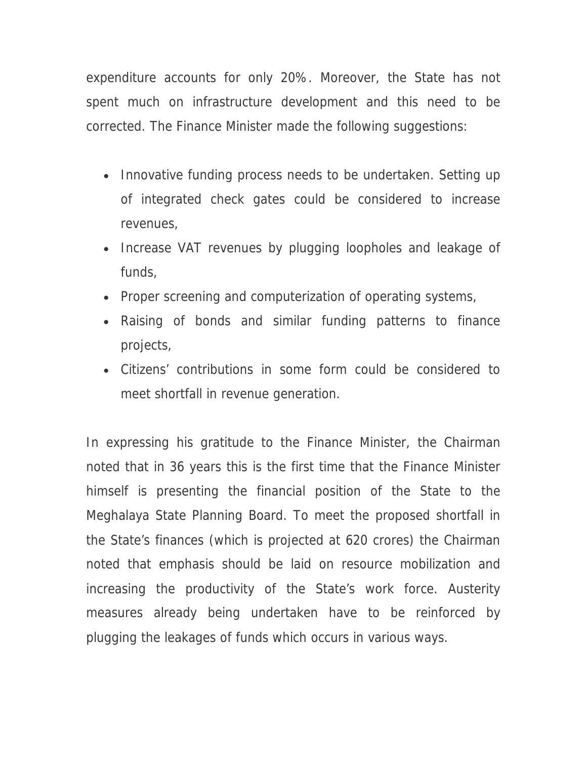expenditure accounts for only 20%. Moreover, the State has not spent much on infrastructure development and this need to be corrected. The Finance Minister made the following suggestions:

- Innovative funding process needs to be undertaken. Setting up of integrated check gates could be considered to increase revenues,
- Increase VAT revenues by plugging loopholes and leakage of funds,
- Proper screening and computerization of operating systems,
- Raising of bonds and similar funding patterns to finance projects,
- Citizens' contributions in some form could be considered to meet shortfall in revenue generation.

In expressing his gratitude to the Finance Minister, the Chairman noted that in 36 years this is the first time that the Finance Minister himself is presenting the financial position of the State to the Meghalaya State Planning Board. To meet the proposed shortfall in the State's finances (which is projected at 620 crores) the Chairman noted that emphasis should be laid on resource mobilization and increasing the productivity of the State's work force. Austerity measures already being undertaken have to be reinforced by plugging the leakages of funds which occurs in various ways.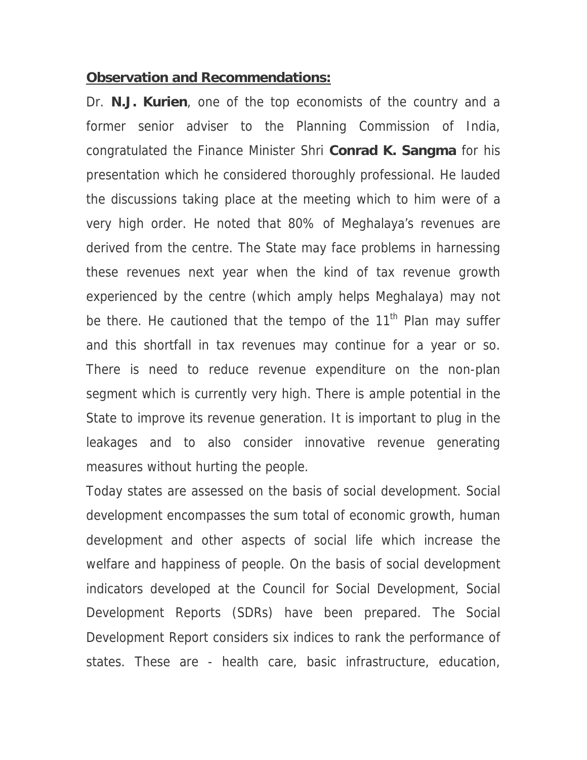#### **Observation and Recommendations:**

Dr. **N.J. Kurien**, one of the top economists of the country and a former senior adviser to the Planning Commission of India, congratulated the Finance Minister Shri **Conrad K. Sangma** for his presentation which he considered thoroughly professional. He lauded the discussions taking place at the meeting which to him were of a very high order. He noted that 80% of Meghalaya's revenues are derived from the centre. The State may face problems in harnessing these revenues next year when the kind of tax revenue growth experienced by the centre (which amply helps Meghalaya) may not be there. He cautioned that the tempo of the  $11<sup>th</sup>$  Plan may suffer and this shortfall in tax revenues may continue for a year or so. There is need to reduce revenue expenditure on the non-plan segment which is currently very high. There is ample potential in the State to improve its revenue generation. It is important to plug in the leakages and to also consider innovative revenue generating measures without hurting the people.

Today states are assessed on the basis of social development. Social development encompasses the sum total of economic growth, human development and other aspects of social life which increase the welfare and happiness of people. On the basis of social development indicators developed at the Council for Social Development, Social Development Reports (SDRs) have been prepared. The Social Development Report considers six indices to rank the performance of states. These are - health care, basic infrastructure, education,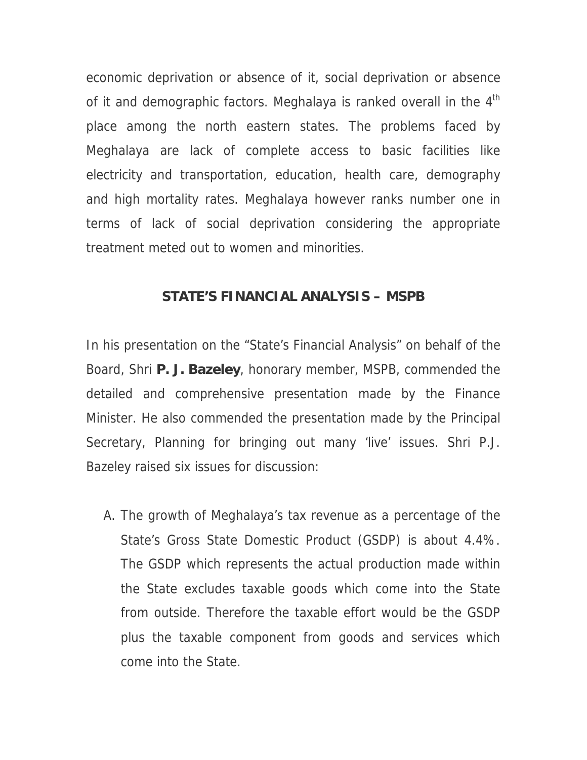economic deprivation or absence of it, social deprivation or absence of it and demographic factors. Meghalaya is ranked overall in the  $4<sup>th</sup>$ place among the north eastern states. The problems faced by Meghalaya are lack of complete access to basic facilities like electricity and transportation, education, health care, demography and high mortality rates. Meghalaya however ranks number one in terms of lack of social deprivation considering the appropriate treatment meted out to women and minorities.

#### **STATE'S FINANCIAL ANALYSIS – MSPB**

In his presentation on the "State's Financial Analysis" on behalf of the Board, Shri **P. J. Bazeley**, honorary member, MSPB, commended the detailed and comprehensive presentation made by the Finance Minister. He also commended the presentation made by the Principal Secretary, Planning for bringing out many 'live' issues. Shri P.J. Bazeley raised six issues for discussion:

A. The growth of Meghalaya's tax revenue as a percentage of the State's Gross State Domestic Product (GSDP) is about 4.4%. The GSDP which represents the actual production made within the State excludes taxable goods which come into the State from outside. Therefore the taxable effort would be the GSDP plus the taxable component from goods and services which come into the State.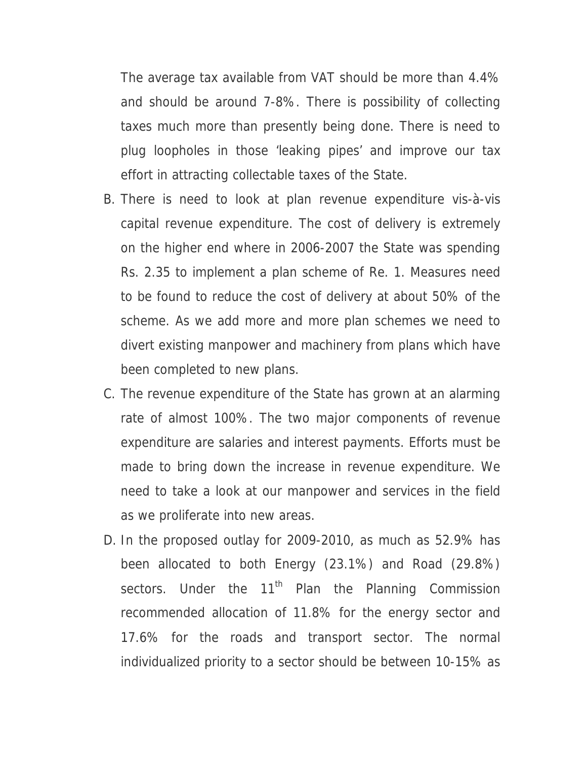The average tax available from VAT should be more than 4.4% and should be around 7-8%. There is possibility of collecting taxes much more than presently being done. There is need to plug loopholes in those 'leaking pipes' and improve our tax effort in attracting collectable taxes of the State.

- B. There is need to look at plan revenue expenditure vis-à-vis capital revenue expenditure. The cost of delivery is extremely on the higher end where in 2006-2007 the State was spending Rs. 2.35 to implement a plan scheme of Re. 1. Measures need to be found to reduce the cost of delivery at about 50% of the scheme. As we add more and more plan schemes we need to divert existing manpower and machinery from plans which have been completed to new plans.
- C. The revenue expenditure of the State has grown at an alarming rate of almost 100%. The two major components of revenue expenditure are salaries and interest payments. Efforts must be made to bring down the increase in revenue expenditure. We need to take a look at our manpower and services in the field as we proliferate into new areas.
- D. In the proposed outlay for 2009-2010, as much as 52.9% has been allocated to both Energy (23.1%) and Road (29.8%) sectors. Under the 11<sup>th</sup> Plan the Planning Commission recommended allocation of 11.8% for the energy sector and 17.6% for the roads and transport sector. The normal individualized priority to a sector should be between 10-15% as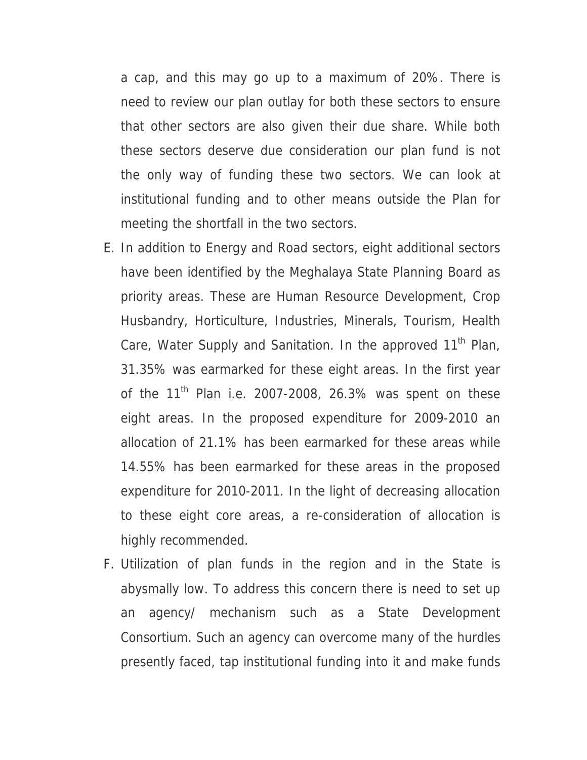a cap, and this may go up to a maximum of 20%. There is need to review our plan outlay for both these sectors to ensure that other sectors are also given their due share. While both these sectors deserve due consideration our plan fund is not the only way of funding these two sectors. We can look at institutional funding and to other means outside the Plan for meeting the shortfall in the two sectors.

- E. In addition to Energy and Road sectors, eight additional sectors have been identified by the Meghalaya State Planning Board as priority areas. These are Human Resource Development, Crop Husbandry, Horticulture, Industries, Minerals, Tourism, Health Care, Water Supply and Sanitation. In the approved 11<sup>th</sup> Plan, 31.35% was earmarked for these eight areas. In the first year of the  $11<sup>th</sup>$  Plan i.e. 2007-2008, 26.3% was spent on these eight areas. In the proposed expenditure for 2009-2010 an allocation of 21.1% has been earmarked for these areas while 14.55% has been earmarked for these areas in the proposed expenditure for 2010-2011. In the light of decreasing allocation to these eight core areas, a re-consideration of allocation is highly recommended.
- F. Utilization of plan funds in the region and in the State is abysmally low. To address this concern there is need to set up an agency/ mechanism such as a State Development Consortium. Such an agency can overcome many of the hurdles presently faced, tap institutional funding into it and make funds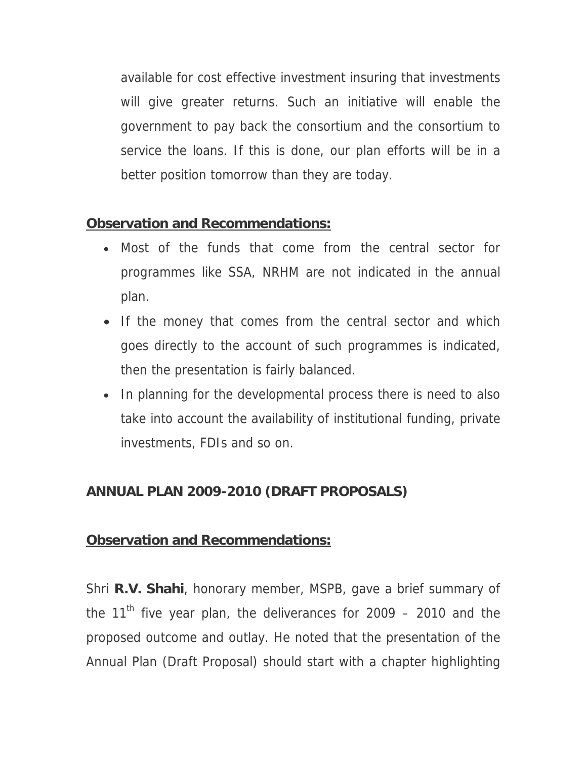available for cost effective investment insuring that investments will give greater returns. Such an initiative will enable the government to pay back the consortium and the consortium to service the loans. If this is done, our plan efforts will be in a better position tomorrow than they are today.

## **Observation and Recommendations:**

- Most of the funds that come from the central sector for programmes like SSA, NRHM are not indicated in the annual plan.
- If the money that comes from the central sector and which goes directly to the account of such programmes is indicated, then the presentation is fairly balanced.
- In planning for the developmental process there is need to also take into account the availability of institutional funding, private investments, FDIs and so on.

## **ANNUAL PLAN 2009-2010 (DRAFT PROPOSALS)**

### **Observation and Recommendations:**

Shri **R.V. Shahi**, honorary member, MSPB, gave a brief summary of the 11<sup>th</sup> five year plan, the deliverances for 2009 – 2010 and the proposed outcome and outlay. He noted that the presentation of the Annual Plan (Draft Proposal) should start with a chapter highlighting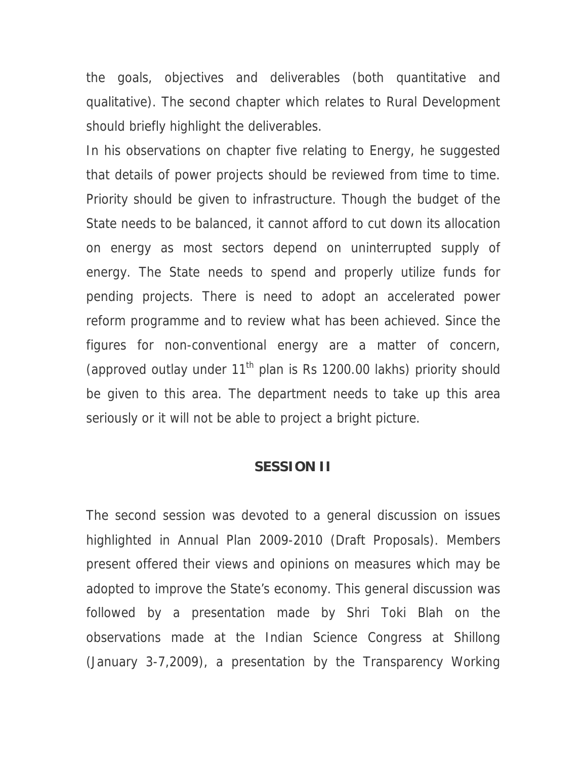the goals, objectives and deliverables (both quantitative and qualitative). The second chapter which relates to Rural Development should briefly highlight the deliverables.

In his observations on chapter five relating to Energy, he suggested that details of power projects should be reviewed from time to time. Priority should be given to infrastructure. Though the budget of the State needs to be balanced, it cannot afford to cut down its allocation on energy as most sectors depend on uninterrupted supply of energy. The State needs to spend and properly utilize funds for pending projects. There is need to adopt an accelerated power reform programme and to review what has been achieved. Since the figures for non-conventional energy are a matter of concern, (approved outlay under  $11<sup>th</sup>$  plan is Rs 1200.00 lakhs) priority should be given to this area. The department needs to take up this area seriously or it will not be able to project a bright picture.

#### **SESSION II**

The second session was devoted to a general discussion on issues highlighted in Annual Plan 2009-2010 (Draft Proposals). Members present offered their views and opinions on measures which may be adopted to improve the State's economy. This general discussion was followed by a presentation made by Shri Toki Blah on the observations made at the Indian Science Congress at Shillong (January 3-7,2009), a presentation by the Transparency Working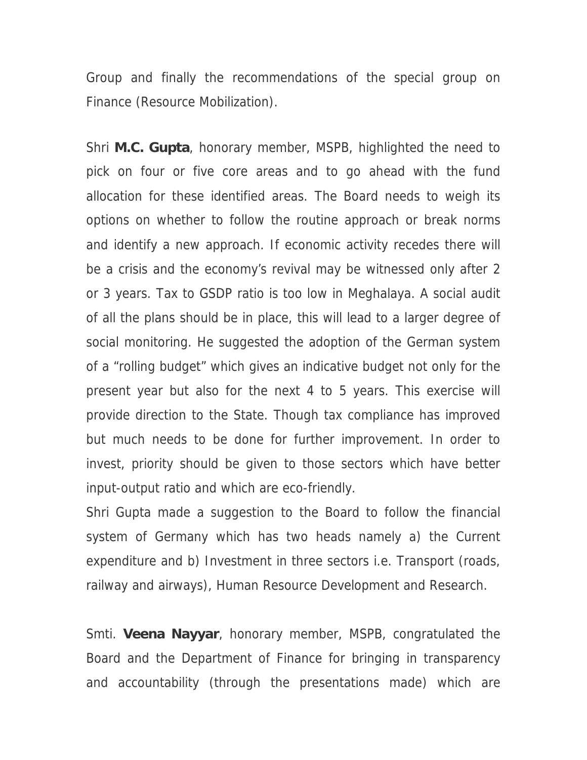Group and finally the recommendations of the special group on Finance (Resource Mobilization).

Shri **M.C. Gupta**, honorary member, MSPB, highlighted the need to pick on four or five core areas and to go ahead with the fund allocation for these identified areas. The Board needs to weigh its options on whether to follow the routine approach or break norms and identify a new approach. If economic activity recedes there will be a crisis and the economy's revival may be witnessed only after 2 or 3 years. Tax to GSDP ratio is too low in Meghalaya. A social audit of all the plans should be in place, this will lead to a larger degree of social monitoring. He suggested the adoption of the German system of a "rolling budget" which gives an indicative budget not only for the present year but also for the next 4 to 5 years. This exercise will provide direction to the State. Though tax compliance has improved but much needs to be done for further improvement. In order to invest, priority should be given to those sectors which have better input-output ratio and which are eco-friendly.

Shri Gupta made a suggestion to the Board to follow the financial system of Germany which has two heads namely a) the Current expenditure and b) Investment in three sectors i.e. Transport (roads, railway and airways), Human Resource Development and Research.

Smti. **Veena Nayyar**, honorary member, MSPB, congratulated the Board and the Department of Finance for bringing in transparency and accountability (through the presentations made) which are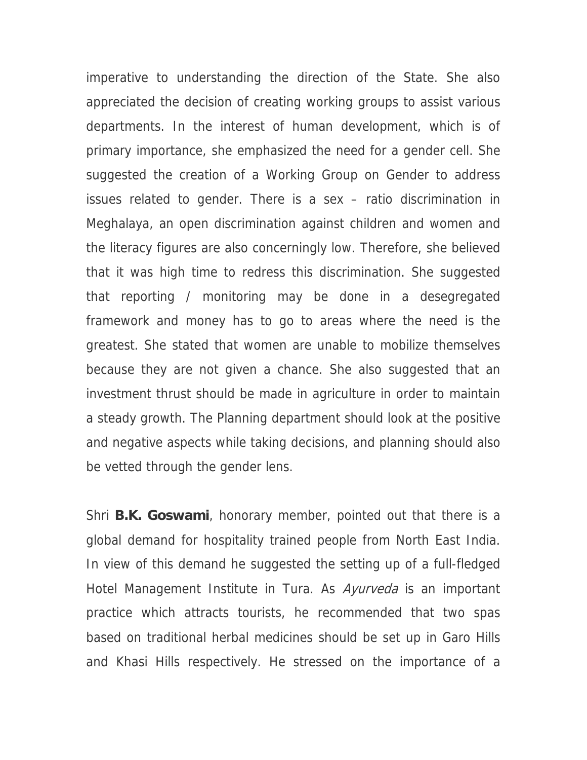imperative to understanding the direction of the State. She also appreciated the decision of creating working groups to assist various departments. In the interest of human development, which is of primary importance, she emphasized the need for a gender cell. She suggested the creation of a Working Group on Gender to address issues related to gender. There is a sex – ratio discrimination in Meghalaya, an open discrimination against children and women and the literacy figures are also concerningly low. Therefore, she believed that it was high time to redress this discrimination. She suggested that reporting / monitoring may be done in a desegregated framework and money has to go to areas where the need is the greatest. She stated that women are unable to mobilize themselves because they are not given a chance. She also suggested that an investment thrust should be made in agriculture in order to maintain a steady growth. The Planning department should look at the positive and negative aspects while taking decisions, and planning should also be vetted through the gender lens.

Shri **B.K. Goswami**, honorary member, pointed out that there is a global demand for hospitality trained people from North East India. In view of this demand he suggested the setting up of a full-fledged Hotel Management Institute in Tura. As *Ayurveda* is an important practice which attracts tourists, he recommended that two spas based on traditional herbal medicines should be set up in Garo Hills and Khasi Hills respectively. He stressed on the importance of a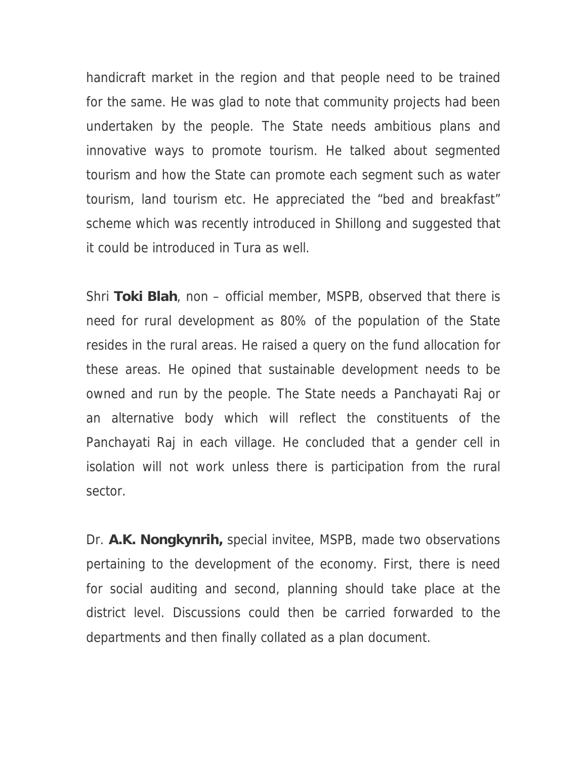handicraft market in the region and that people need to be trained for the same. He was glad to note that community projects had been undertaken by the people. The State needs ambitious plans and innovative ways to promote tourism. He talked about segmented tourism and how the State can promote each segment such as water tourism, land tourism etc. He appreciated the "bed and breakfast" scheme which was recently introduced in Shillong and suggested that it could be introduced in Tura as well.

Shri **Toki Blah**, non – official member, MSPB, observed that there is need for rural development as 80% of the population of the State resides in the rural areas. He raised a query on the fund allocation for these areas. He opined that sustainable development needs to be owned and run by the people. The State needs a Panchayati Raj or an alternative body which will reflect the constituents of the Panchayati Raj in each village. He concluded that a gender cell in isolation will not work unless there is participation from the rural sector.

Dr. **A.K. Nongkynrih,** special invitee, MSPB, made two observations pertaining to the development of the economy. First, there is need for social auditing and second, planning should take place at the district level. Discussions could then be carried forwarded to the departments and then finally collated as a plan document.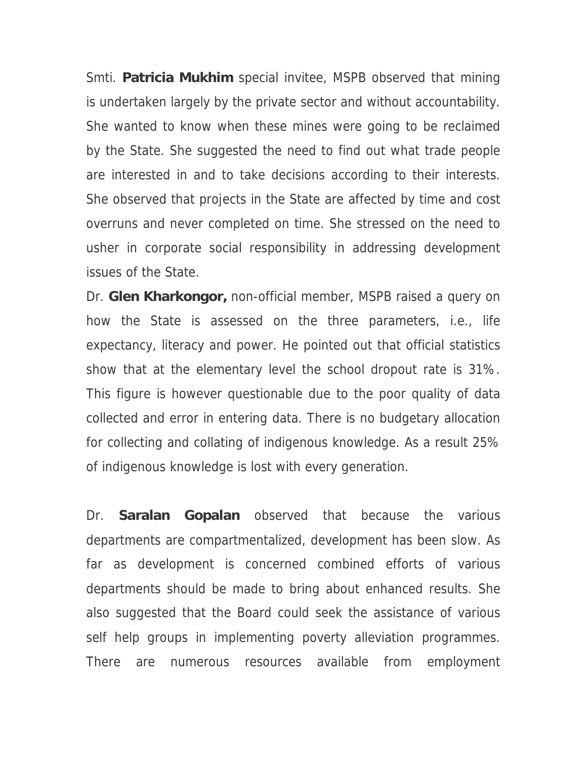Smti. **Patricia Mukhim** special invitee, MSPB observed that mining is undertaken largely by the private sector and without accountability. She wanted to know when these mines were going to be reclaimed by the State. She suggested the need to find out what trade people are interested in and to take decisions according to their interests. She observed that projects in the State are affected by time and cost overruns and never completed on time. She stressed on the need to usher in corporate social responsibility in addressing development issues of the State.

Dr. **Glen Kharkongor,** non-official member, MSPB raised a query on how the State is assessed on the three parameters, i.e., life expectancy, literacy and power. He pointed out that official statistics show that at the elementary level the school dropout rate is 31%. This figure is however questionable due to the poor quality of data collected and error in entering data. There is no budgetary allocation for collecting and collating of indigenous knowledge. As a result 25% of indigenous knowledge is lost with every generation.

Dr. **Saralan Gopalan** observed that because the various departments are compartmentalized, development has been slow. As far as development is concerned combined efforts of various departments should be made to bring about enhanced results. She also suggested that the Board could seek the assistance of various self help groups in implementing poverty alleviation programmes. There are numerous resources available from employment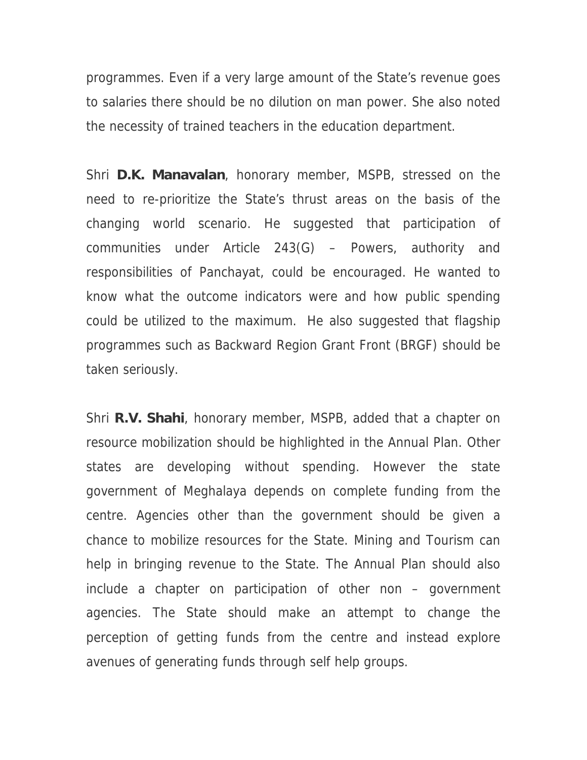programmes. Even if a very large amount of the State's revenue goes to salaries there should be no dilution on man power. She also noted the necessity of trained teachers in the education department.

Shri **D.K. Manavalan**, honorary member, MSPB, stressed on the need to re-prioritize the State's thrust areas on the basis of the changing world scenario. He suggested that participation of communities under Article 243(G) – Powers, authority and responsibilities of Panchayat, could be encouraged. He wanted to know what the outcome indicators were and how public spending could be utilized to the maximum. He also suggested that flagship programmes such as Backward Region Grant Front (BRGF) should be taken seriously.

Shri **R.V. Shahi**, honorary member, MSPB, added that a chapter on resource mobilization should be highlighted in the Annual Plan. Other states are developing without spending. However the state government of Meghalaya depends on complete funding from the centre. Agencies other than the government should be given a chance to mobilize resources for the State. Mining and Tourism can help in bringing revenue to the State. The Annual Plan should also include a chapter on participation of other non – government agencies. The State should make an attempt to change the perception of getting funds from the centre and instead explore avenues of generating funds through self help groups.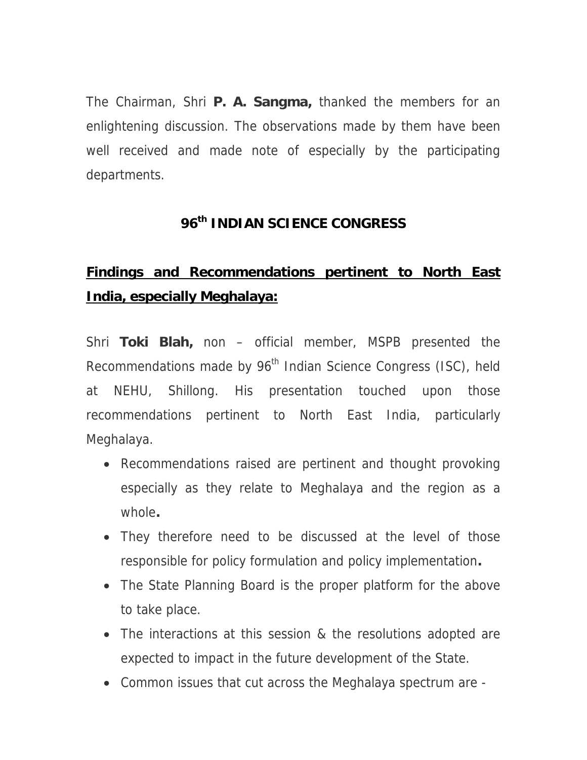The Chairman, Shri **P. A. Sangma,** thanked the members for an enlightening discussion. The observations made by them have been well received and made note of especially by the participating departments.

## **96th INDIAN SCIENCE CONGRESS**

# **Findings and Recommendations pertinent to North East India, especially Meghalaya:**

Shri **Toki Blah,** non – official member, MSPB presented the Recommendations made by 96<sup>th</sup> Indian Science Congress (ISC), held at NEHU, Shillong. His presentation touched upon those recommendations pertinent to North East India, particularly Meghalaya.

- Recommendations raised are pertinent and thought provoking especially as they relate to Meghalaya and the region as a whole**.**
- They therefore need to be discussed at the level of those responsible for policy formulation and policy implementation**.**
- The State Planning Board is the proper platform for the above to take place.
- The interactions at this session & the resolutions adopted are expected to impact in the future development of the State.
- Common issues that cut across the Meghalaya spectrum are -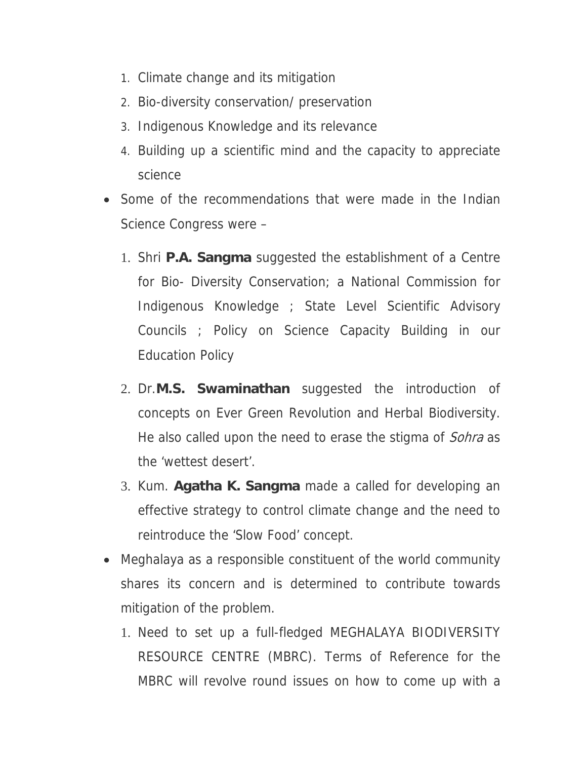- 1. Climate change and its mitigation
- 2. Bio-diversity conservation/ preservation
- 3. Indigenous Knowledge and its relevance
- 4. Building up a scientific mind and the capacity to appreciate science
- Some of the recommendations that were made in the Indian Science Congress were –
	- 1. Shri **P.A. Sangma** suggested the establishment of a Centre for Bio- Diversity Conservation; a National Commission for Indigenous Knowledge ; State Level Scientific Advisory Councils ; Policy on Science Capacity Building in our Education Policy
	- 2. Dr.**M.S. Swaminathan** suggested the introduction of concepts on Ever Green Revolution and Herbal Biodiversity. He also called upon the need to erase the stigma of *Sohra* as the 'wettest desert'.
	- 3. Kum. **Agatha K. Sangma** made a called for developing an effective strategy to control climate change and the need to reintroduce the 'Slow Food' concept.
- Meghalaya as a responsible constituent of the world community shares its concern and is determined to contribute towards mitigation of the problem.
	- 1. Need to set up a full-fledged MEGHALAYA BIODIVERSITY RESOURCE CENTRE (MBRC). Terms of Reference for the MBRC will revolve round issues on how to come up with a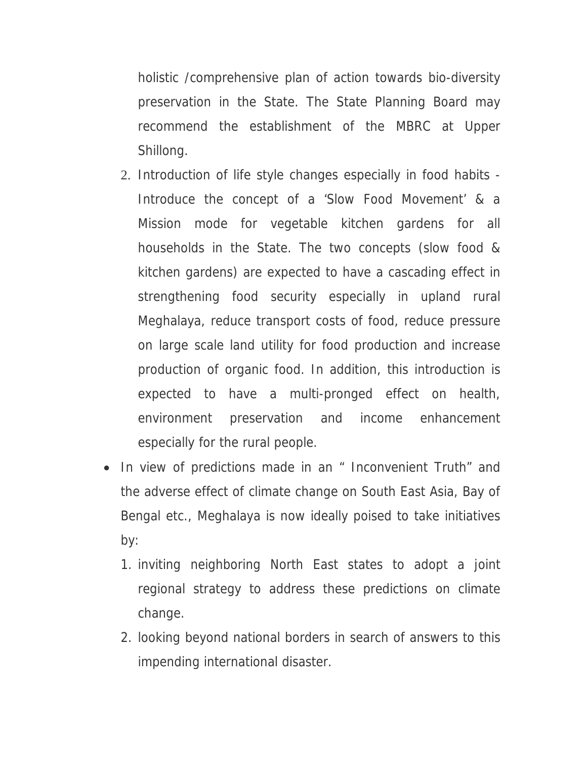holistic /comprehensive plan of action towards bio-diversity preservation in the State. The State Planning Board may recommend the establishment of the MBRC at Upper Shillong.

- 2. Introduction of life style changes especially in food habits Introduce the concept of a 'Slow Food Movement' & a Mission mode for vegetable kitchen gardens for all households in the State. The two concepts (slow food & kitchen gardens) are expected to have a cascading effect in strengthening food security especially in upland rural Meghalaya, reduce transport costs of food, reduce pressure on large scale land utility for food production and increase production of organic food. In addition, this introduction is expected to have a multi-pronged effect on health, environment preservation and income enhancement especially for the rural people.
- In view of predictions made in an " Inconvenient Truth" and the adverse effect of climate change on South East Asia, Bay of Bengal etc., Meghalaya is now ideally poised to take initiatives by:
	- 1. inviting neighboring North East states to adopt a joint regional strategy to address these predictions on climate change.
	- 2. looking beyond national borders in search of answers to this impending international disaster.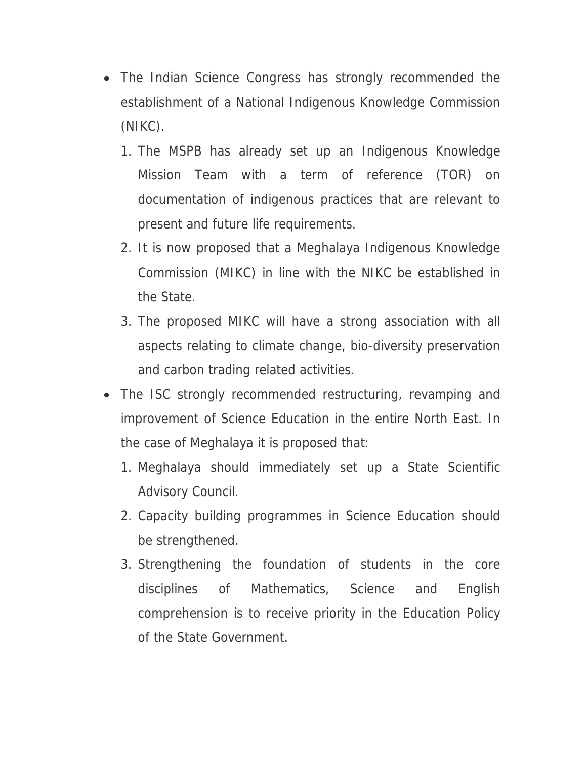- The Indian Science Congress has strongly recommended the establishment of a National Indigenous Knowledge Commission (NIKC).
	- 1. The MSPB has already set up an Indigenous Knowledge Mission Team with a term of reference (TOR) on documentation of indigenous practices that are relevant to present and future life requirements.
	- 2. It is now proposed that a Meghalaya Indigenous Knowledge Commission (MIKC) in line with the NIKC be established in the State.
	- 3. The proposed MIKC will have a strong association with all aspects relating to climate change, bio-diversity preservation and carbon trading related activities.
- The ISC strongly recommended restructuring, revamping and improvement of Science Education in the entire North East. In the case of Meghalaya it is proposed that:
	- 1. Meghalaya should immediately set up a State Scientific Advisory Council.
	- 2. Capacity building programmes in Science Education should be strengthened.
	- 3. Strengthening the foundation of students in the core disciplines of Mathematics, Science and English comprehension is to receive priority in the Education Policy of the State Government.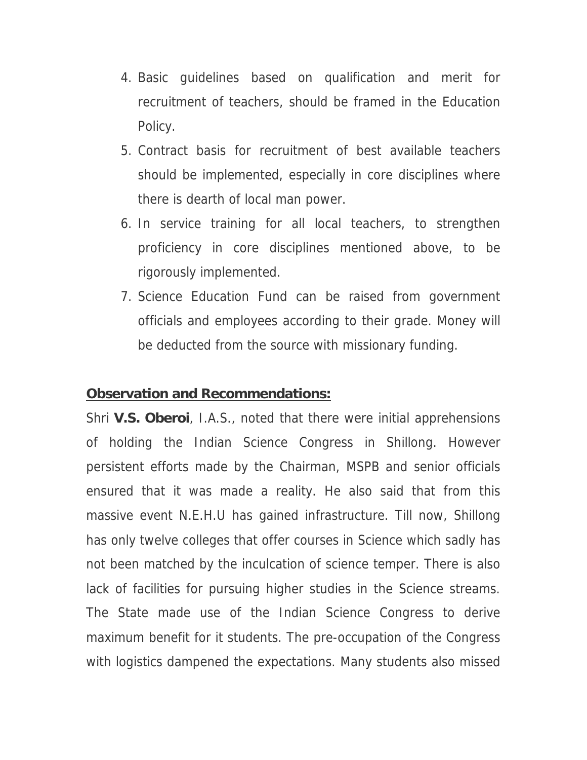- 4. Basic guidelines based on qualification and merit for recruitment of teachers, should be framed in the Education Policy.
- 5. Contract basis for recruitment of best available teachers should be implemented, especially in core disciplines where there is dearth of local man power.
- 6. In service training for all local teachers, to strengthen proficiency in core disciplines mentioned above, to be rigorously implemented.
- 7. Science Education Fund can be raised from government officials and employees according to their grade. Money will be deducted from the source with missionary funding.

#### **Observation and Recommendations:**

Shri **V.S. Oberoi**, I.A.S., noted that there were initial apprehensions of holding the Indian Science Congress in Shillong. However persistent efforts made by the Chairman, MSPB and senior officials ensured that it was made a reality. He also said that from this massive event N.E.H.U has gained infrastructure. Till now, Shillong has only twelve colleges that offer courses in Science which sadly has not been matched by the inculcation of science temper. There is also lack of facilities for pursuing higher studies in the Science streams. The State made use of the Indian Science Congress to derive maximum benefit for it students. The pre-occupation of the Congress with logistics dampened the expectations. Many students also missed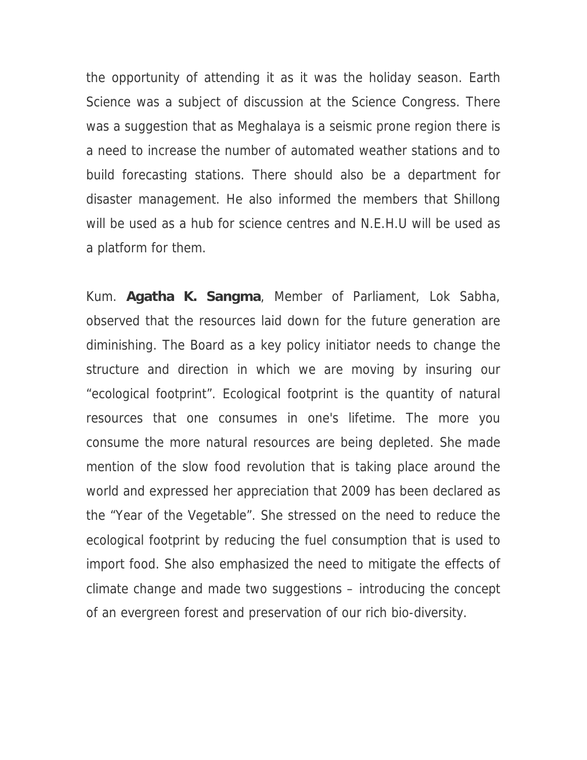the opportunity of attending it as it was the holiday season. Earth Science was a subject of discussion at the Science Congress. There was a suggestion that as Meghalaya is a seismic prone region there is a need to increase the number of automated weather stations and to build forecasting stations. There should also be a department for disaster management. He also informed the members that Shillong will be used as a hub for science centres and N.E.H.U will be used as a platform for them.

Kum. **Agatha K. Sangma**, Member of Parliament, Lok Sabha, observed that the resources laid down for the future generation are diminishing. The Board as a key policy initiator needs to change the structure and direction in which we are moving by insuring our "ecological footprint". Ecological footprint is the quantity of natural resources that one consumes in one's lifetime. The more you consume the more natural resources are being depleted. She made mention of the slow food revolution that is taking place around the world and expressed her appreciation that 2009 has been declared as the "Year of the Vegetable". She stressed on the need to reduce the ecological footprint by reducing the fuel consumption that is used to import food. She also emphasized the need to mitigate the effects of climate change and made two suggestions – introducing the concept of an evergreen forest and preservation of our rich bio-diversity.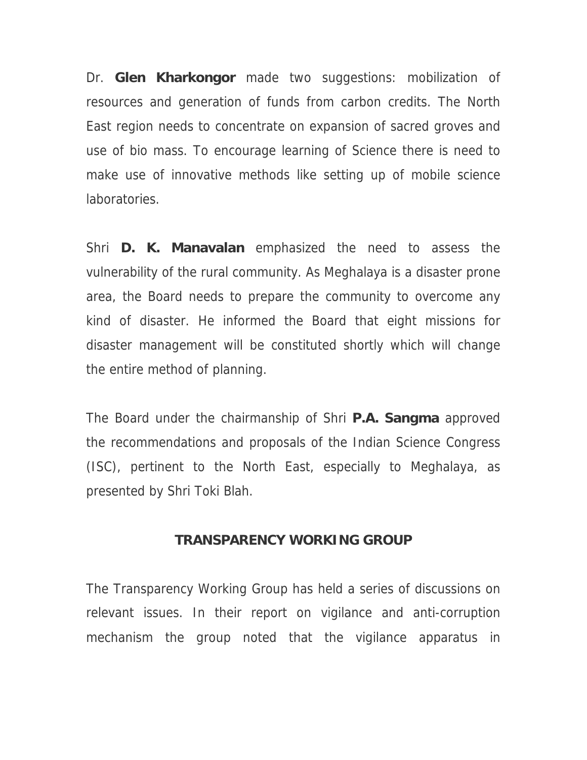Dr. **Glen Kharkongor** made two suggestions: mobilization of resources and generation of funds from carbon credits. The North East region needs to concentrate on expansion of sacred groves and use of bio mass. To encourage learning of Science there is need to make use of innovative methods like setting up of mobile science laboratories.

Shri **D. K. Manavalan** emphasized the need to assess the vulnerability of the rural community. As Meghalaya is a disaster prone area, the Board needs to prepare the community to overcome any kind of disaster. He informed the Board that eight missions for disaster management will be constituted shortly which will change the entire method of planning.

The Board under the chairmanship of Shri **P.A. Sangma** approved the recommendations and proposals of the Indian Science Congress (ISC), pertinent to the North East, especially to Meghalaya, as presented by Shri Toki Blah.

#### **TRANSPARENCY WORKING GROUP**

The Transparency Working Group has held a series of discussions on relevant issues. In their report on vigilance and anti-corruption mechanism the group noted that the vigilance apparatus in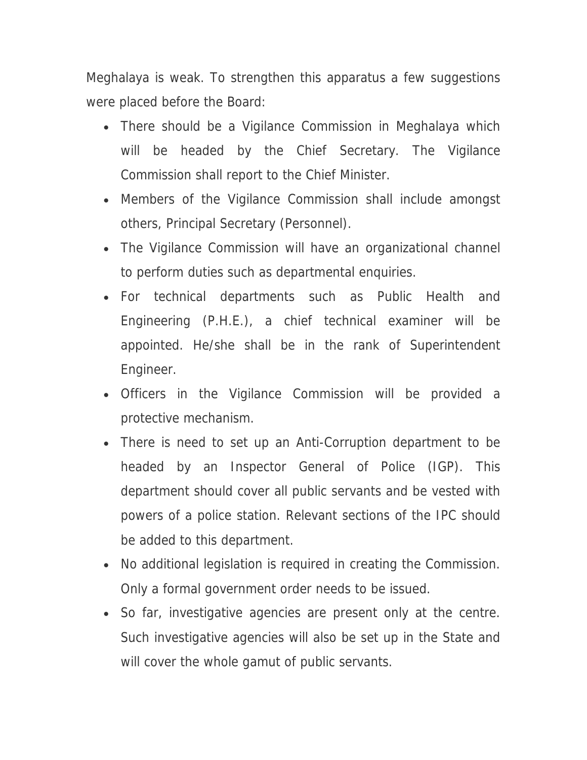Meghalaya is weak. To strengthen this apparatus a few suggestions were placed before the Board:

- There should be a Vigilance Commission in Meghalaya which will be headed by the Chief Secretary. The Vigilance Commission shall report to the Chief Minister.
- Members of the Vigilance Commission shall include amongst others, Principal Secretary (Personnel).
- The Vigilance Commission will have an organizational channel to perform duties such as departmental enquiries.
- For technical departments such as Public Health and Engineering (P.H.E.), a chief technical examiner will be appointed. He/she shall be in the rank of Superintendent Engineer.
- Officers in the Vigilance Commission will be provided a protective mechanism.
- There is need to set up an Anti-Corruption department to be headed by an Inspector General of Police (IGP). This department should cover all public servants and be vested with powers of a police station. Relevant sections of the IPC should be added to this department.
- No additional legislation is required in creating the Commission. Only a formal government order needs to be issued.
- So far, investigative agencies are present only at the centre. Such investigative agencies will also be set up in the State and will cover the whole gamut of public servants.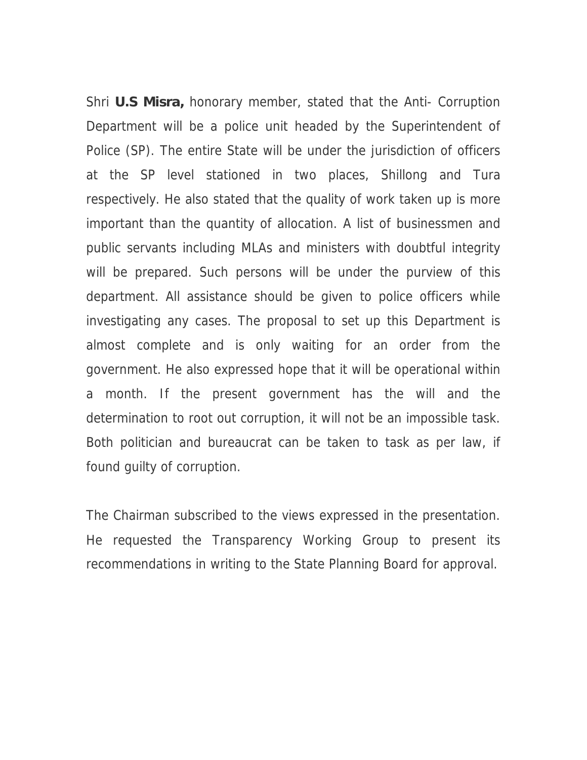Shri **U.S Misra,** honorary member, stated that the Anti- Corruption Department will be a police unit headed by the Superintendent of Police (SP). The entire State will be under the jurisdiction of officers at the SP level stationed in two places, Shillong and Tura respectively. He also stated that the quality of work taken up is more important than the quantity of allocation. A list of businessmen and public servants including MLAs and ministers with doubtful integrity will be prepared. Such persons will be under the purview of this department. All assistance should be given to police officers while investigating any cases. The proposal to set up this Department is almost complete and is only waiting for an order from the government. He also expressed hope that it will be operational within a month. If the present government has the will and the determination to root out corruption, it will not be an impossible task. Both politician and bureaucrat can be taken to task as per law, if found guilty of corruption.

The Chairman subscribed to the views expressed in the presentation. He requested the Transparency Working Group to present its recommendations in writing to the State Planning Board for approval.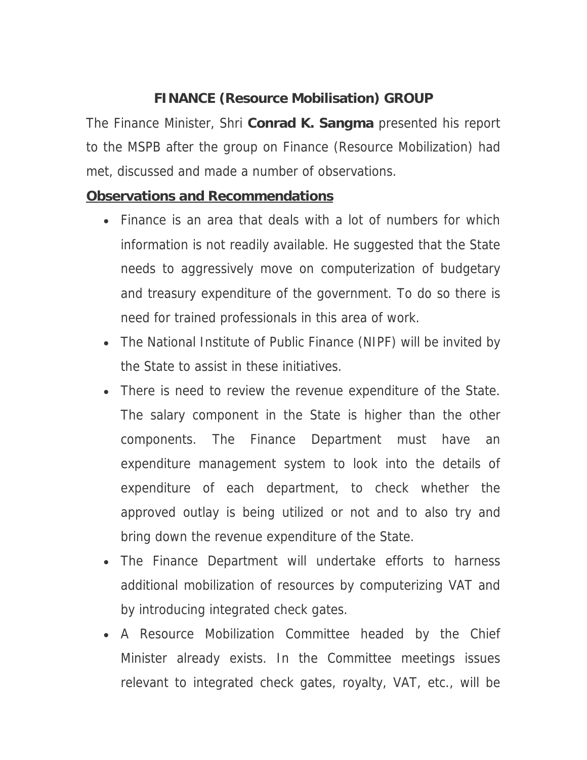## **FINANCE (Resource Mobilisation) GROUP**

The Finance Minister, Shri **Conrad K. Sangma** presented his report to the MSPB after the group on Finance (Resource Mobilization) had met, discussed and made a number of observations.

### **Observations and Recommendations**

- Finance is an area that deals with a lot of numbers for which information is not readily available. He suggested that the State needs to aggressively move on computerization of budgetary and treasury expenditure of the government. To do so there is need for trained professionals in this area of work.
- The National Institute of Public Finance (NIPF) will be invited by the State to assist in these initiatives.
- There is need to review the revenue expenditure of the State. The salary component in the State is higher than the other components. The Finance Department must have an expenditure management system to look into the details of expenditure of each department, to check whether the approved outlay is being utilized or not and to also try and bring down the revenue expenditure of the State.
- The Finance Department will undertake efforts to harness additional mobilization of resources by computerizing VAT and by introducing integrated check gates.
- A Resource Mobilization Committee headed by the Chief Minister already exists. In the Committee meetings issues relevant to integrated check gates, royalty, VAT, etc., will be